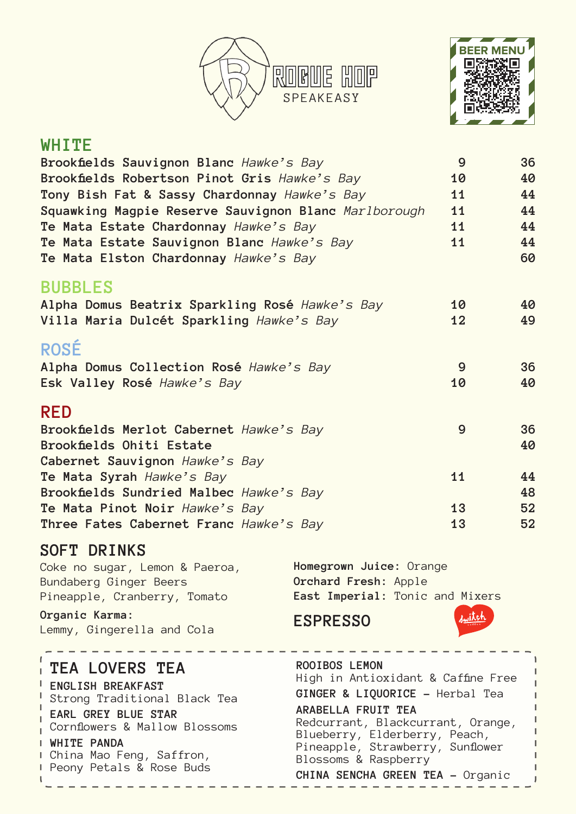



#### **WHITE**

| Brookfields Sauvignon Blanc Hawke's Bay              | 9  | 36 |
|------------------------------------------------------|----|----|
| Brookfields Robertson Pinot Gris Hawke's Bay         | 10 | 40 |
| Tony Bish Fat & Sassy Chardonnay Hawke's Bay         | 11 | 44 |
| Squawking Magpie Reserve Sauvignon Blanc Marlborough | 11 | 44 |
| Te Mata Estate Chardonnay Hawke's Bay                | 11 | 44 |
| Te Mata Estate Sauvignon Blanc Hawke's Bay           | 11 | 44 |
| Te Mata Elston Chardonnay Hawke's Bay                |    | 60 |
| <b>BUBBLES</b>                                       |    |    |
| Alpha Domus Beatrix Sparkling Rosé Hawke's Bay       | 10 | 40 |
| Villa Maria Dulcét Sparkling Hawke's Bay             | 12 | 49 |
| <b>ROSÉ</b>                                          |    |    |
| Alpha Domus Collection Rosé Hawke's Bay              | 9  | 36 |
| Esk Valley Rosé Hawke's Bay                          | 10 | 40 |
| <b>RED</b>                                           |    |    |
| Brookfields Merlot Cabernet Hawke's Bay              | 9  | 36 |
| Brookfields Ohiti Estate                             |    | 40 |
| Cabernet Sauvignon Hawke's Bay                       |    |    |
| Te Mata Syrah Hawke's Bay                            | 11 | 44 |
| Brookfields Sundried Malbec Hawke's Bay              |    | 48 |
| Te Mata Pinot Noir Hawke's Bay                       | 13 | 52 |
| Three Fates Cabernet Franc Hawke's Bay               | 13 | 52 |

### **SOFT DRINKS**

| Coke no sugar, Lemon & Paeroa, | Homegrown Juice: Orange         |
|--------------------------------|---------------------------------|
| Bundaberg Ginger Beers         | Orchard Fresh: Apple            |
| Pineapple, Cranberry, Tomato   | East Imperial: Tonic and Mixers |

**Organic Karma:** Lemmy, Gingerella and Cola

# **ESPRESSO**



л Í ı

j

#### **ROOIBOS LEMON TEA LOVERS TEA** High in Antioxidant & Caffine Free **ENGLISH BREAKFAST GINGER & LIQUORICE -** Herbal Tea I Strong Traditional Black Tea  $\mathbf{I}$ **ARABELLA FRUIT TEA EARL GREY BLUE STAR** Redcurrant, Blackcurrant, Orange, Cornflowers & Mallow Blossoms Blueberry, Elderberry, Peach, **WHITE PANDA** Pineapple, Strawberry, Sunflower I China Mao Feng, Saffron, Blossoms & Raspberry **Peony Petals & Rose Buds CHINA SENCHA GREEN TEA -** Organic